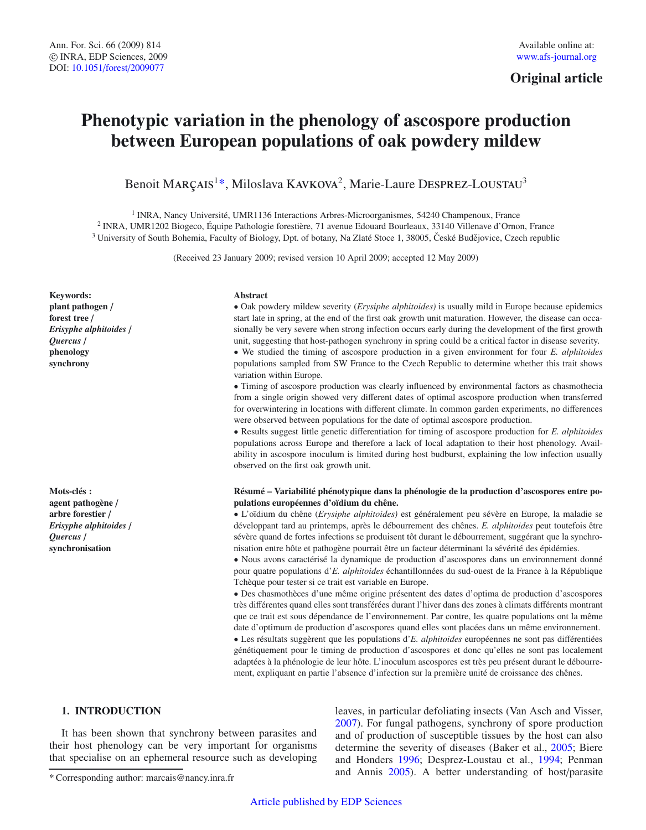# **Original article**

# **Phenotypic variation in the phenology of ascospore production between European populations of oak powdery mildew**

Benoit MARCAIS<sup>1\*</sup>, Miloslava KAVKOVA<sup>2</sup>, Marie-Laure DESPREZ-LOUSTAU<sup>3</sup>

<sup>1</sup> INRA, Nancy Université, UMR1136 Interactions Arbres-Microorganismes, 54240 Champenoux, France <sup>2</sup> INRA, UMR1202 Biogeco, Équipe Pathologie forestière, 71 avenue Edouard Bourleaux, 33140 Villenave d'Ornon, France  $3$  University of South Bohemia, Faculty of Biology, Dpt. of botany, Na Zlaté Stoce 1, 38005, České Budějovice, Czech republic

(Received 23 January 2009; revised version 10 April 2009; accepted 12 May 2009)

**Keywords: plant pathogen** / **forest tree** / *Erisyphe alphitoides* / *Quercus* / **phenology synchrony**

**Mots-clés : agent pathogène** / **arbre forestier** / *Erisyphe alphitoides* / *Quercus* / **synchronisation**

#### **Abstract**

• Oak powdery mildew severity (*Erysiphe alphitoides)* is usually mild in Europe because epidemics start late in spring, at the end of the first oak growth unit maturation. However, the disease can occasionally be very severe when strong infection occurs early during the development of the first growth unit, suggesting that host-pathogen synchrony in spring could be a critical factor in disease severity.

• We studied the timing of ascospore production in a given environment for four *E. alphitoides* populations sampled from SW France to the Czech Republic to determine whether this trait shows variation within Europe.

• Timing of ascospore production was clearly influenced by environmental factors as chasmothecia from a single origin showed very different dates of optimal ascospore production when transferred for overwintering in locations with different climate. In common garden experiments, no differences were observed between populations for the date of optimal ascospore production.

• Results suggest little genetic differentiation for timing of ascospore production for *E. alphitoides* populations across Europe and therefore a lack of local adaptation to their host phenology. Availability in ascospore inoculum is limited during host budburst, explaining the low infection usually observed on the first oak growth unit.

#### **Résumé – Variabilité phénotypique dans la phénologie de la production d'ascospores entre populations européennes d'oïdium du chêne.**

• L'oïdium du chêne (*Erysiphe alphitoides)* est généralement peu sévère en Europe, la maladie se développant tard au printemps, après le débourrement des chênes. *E. alphitoides* peut toutefois être sévère quand de fortes infections se produisent tôt durant le débourrement, suggérant que la synchronisation entre hôte et pathogène pourrait être un facteur déterminant la sévérité des épidémies.

• Nous avons caractérisé la dynamique de production d'ascospores dans un environnement donné pour quatre populations d'*E. alphitoides* échantillonnées du sud-ouest de la France à la République Tchèque pour tester si ce trait est variable en Europe.

• Des chasmothèces d'une même origine présentent des dates d'optima de production d'ascospores très différentes quand elles sont transférées durant l'hiver dans des zones à climats différents montrant que ce trait est sous dépendance de l'environnement. Par contre, les quatre populations ont la même date d'optimum de production d'ascospores quand elles sont placées dans un même environnement. • Les résultats suggèrent que les populations d'*E. alphitoides* européennes ne sont pas différentiées génétiquement pour le timing de production d'ascospores et donc qu'elles ne sont pas localement adaptées à la phénologie de leur hôte. L'inoculum ascospores est très peu présent durant le débourrement, expliquant en partie l'absence d'infection sur la première unité de croissance des chênes.

# **1. INTRODUCTION**

It has been shown that synchrony between parasites and their host phenology can be very important for organisms that specialise on an ephemeral resource such as developing

\* Corresponding author: marcais@nancy.inra.fr

leaves, in particular defoliating insects (Van Asch and Visser, [2007\)](#page-7-0). For fungal pathogens, synchrony of spore production and of production of susceptible tissues by the host can also determine the severity of diseases (Baker et al., [2005;](#page-6-0) Biere and Honders [1996;](#page-7-1) Desprez-Loustau et al., [1994;](#page-7-2) Penman and Annis [2005\)](#page-7-3). A better understanding of host/parasite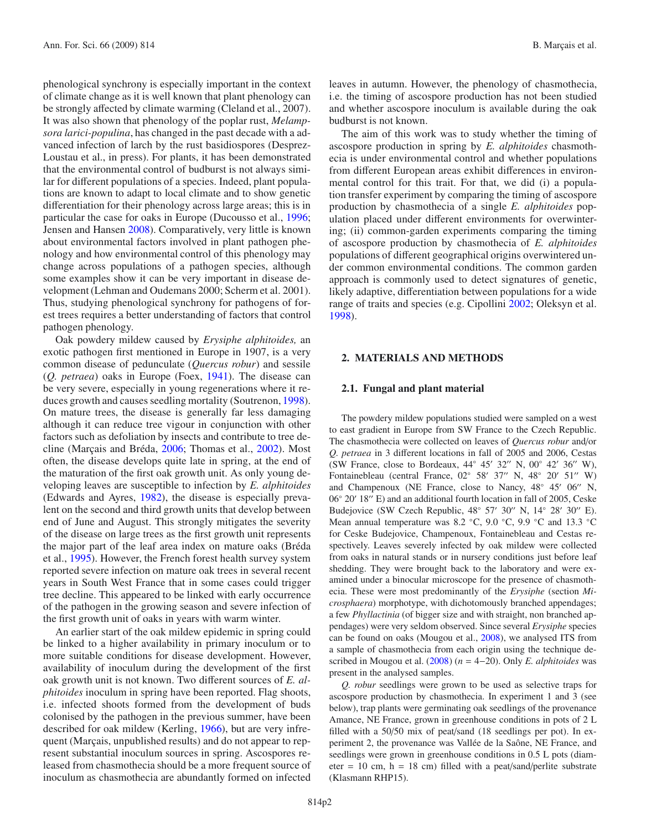phenological synchrony is especially important in the context of climate change as it is well known that plant phenology can be strongly affected by climate warming (Cleland et al., 2007). It was also shown that phenology of the poplar rust, *Melampsora larici-populina*, has changed in the past decade with a advanced infection of larch by the rust basidiospores (Desprez-Loustau et al., in press). For plants, it has been demonstrated that the environmental control of budburst is not always similar for different populations of a species. Indeed, plant populations are known to adapt to local climate and to show genetic differentiation for their phenology across large areas; this is in particular the case for oaks in Europe (Ducousso et al., [1996;](#page-7-4) Jensen and Hansen [2008](#page-7-5)). Comparatively, very little is known about environmental factors involved in plant pathogen phenology and how environmental control of this phenology may change across populations of a pathogen species, although some examples show it can be very important in disease development (Lehman and Oudemans 2000; Scherm et al. 2001). Thus, studying phenological synchrony for pathogens of forest trees requires a better understanding of factors that control pathogen phenology.

Oak powdery mildew caused by *Erysiphe alphitoides,* an exotic pathogen first mentioned in Europe in 1907, is a very common disease of pedunculate (*Quercus robur*) and sessile (*Q. petraea*) oaks in Europe (Foex, [1941\)](#page-7-6). The disease can be very severe, especially in young regenerations where it reduces growth and causes seedling mortality (Soutrenon, [1998\)](#page-7-7). On mature trees, the disease is generally far less damaging although it can reduce tree vigour in conjunction with other factors such as defoliation by insects and contribute to tree decline (Marçais and Bréda, [2006;](#page-7-8) Thomas et al., [2002\)](#page-7-9). Most often, the disease develops quite late in spring, at the end of the maturation of the first oak growth unit. As only young developing leaves are susceptible to infection by *E. alphitoides* (Edwards and Ayres, [1982\)](#page-7-10), the disease is especially prevalent on the second and third growth units that develop between end of June and August. This strongly mitigates the severity of the disease on large trees as the first growth unit represents the major part of the leaf area index on mature oaks (Bréda et al., [1995](#page-7-11)). However, the French forest health survey system reported severe infection on mature oak trees in several recent years in South West France that in some cases could trigger tree decline. This appeared to be linked with early occurrence of the pathogen in the growing season and severe infection of the first growth unit of oaks in years with warm winter.

An earlier start of the oak mildew epidemic in spring could be linked to a higher availability in primary inoculum or to more suitable conditions for disease development. However, availability of inoculum during the development of the first oak growth unit is not known. Two different sources of *E. alphitoides* inoculum in spring have been reported. Flag shoots, i.e. infected shoots formed from the development of buds colonised by the pathogen in the previous summer, have been described for oak mildew (Kerling, [1966\)](#page-7-12), but are very infrequent (Marçais, unpublished results) and do not appear to represent substantial inoculum sources in spring. Ascospores released from chasmothecia should be a more frequent source of inoculum as chasmothecia are abundantly formed on infected

leaves in autumn. However, the phenology of chasmothecia, i.e. the timing of ascospore production has not been studied and whether ascospore inoculum is available during the oak budburst is not known.

The aim of this work was to study whether the timing of ascospore production in spring by *E. alphitoides* chasmothecia is under environmental control and whether populations from different European areas exhibit differences in environmental control for this trait. For that, we did (i) a population transfer experiment by comparing the timing of ascospore production by chasmothecia of a single *E. alphitoides* population placed under different environments for overwintering; (ii) common-garden experiments comparing the timing of ascospore production by chasmothecia of *E. alphitoides* populations of different geographical origins overwintered under common environmental conditions. The common garden approach is commonly used to detect signatures of genetic, likely adaptive, differentiation between populations for a wide range of traits and species (e.g. Cipollini [2002;](#page-7-13) Oleksyn et al. [1998\)](#page-7-14).

## **2. MATERIALS AND METHODS**

#### **2.1. Fungal and plant material**

The powdery mildew populations studied were sampled on a west to east gradient in Europe from SW France to the Czech Republic. The chasmothecia were collected on leaves of *Quercus robur* and/or *Q. petraea* in 3 different locations in fall of 2005 and 2006, Cestas (SW France, close to Bordeaux,  $44^{\circ}$  45′ 32″ N, 00 $^{\circ}$  42′ 36″ W), Fontainebleau (central France, 02° 58' 37" N, 48° 20' 51" W) and Champenoux (NE France, close to Nancy, 48° 45' 06" N, 06° 20′ 18″ E) and an additional fourth location in fall of 2005, Ceske Budejovice (SW Czech Republic, 48° 57' 30" N, 14° 28' 30" E). Mean annual temperature was 8.2 °C, 9.0 °C, 9.9 °C and 13.3 °C for Ceske Budejovice, Champenoux, Fontainebleau and Cestas respectively. Leaves severely infected by oak mildew were collected from oaks in natural stands or in nursery conditions just before leaf shedding. They were brought back to the laboratory and were examined under a binocular microscope for the presence of chasmothecia. These were most predominantly of the *Erysiphe* (section *Microsphaera*) morphotype, with dichotomously branched appendages; a few *Phyllactinia* (of bigger size and with straight, non branched appendages) were very seldom observed. Since several *Erysiphe* species can be found on oaks (Mougou et al., [2008](#page-7-15)), we analysed ITS from a sample of chasmothecia from each origin using the technique described in Mougou et al. [\(2008\)](#page-7-15) (*n* = 4−20). Only *E. alphitoides* was present in the analysed samples.

*Q. robur* seedlings were grown to be used as selective traps for ascospore production by chasmothecia. In experiment 1 and 3 (see below), trap plants were germinating oak seedlings of the provenance Amance, NE France, grown in greenhouse conditions in pots of 2 L filled with a 50/50 mix of peat/sand (18 seedlings per pot). In experiment 2, the provenance was Vallée de la Saône, NE France, and seedlings were grown in greenhouse conditions in 0.5 L pots (diameter = 10 cm,  $h = 18$  cm) filled with a peat/sand/perlite substrate (Klasmann RHP15).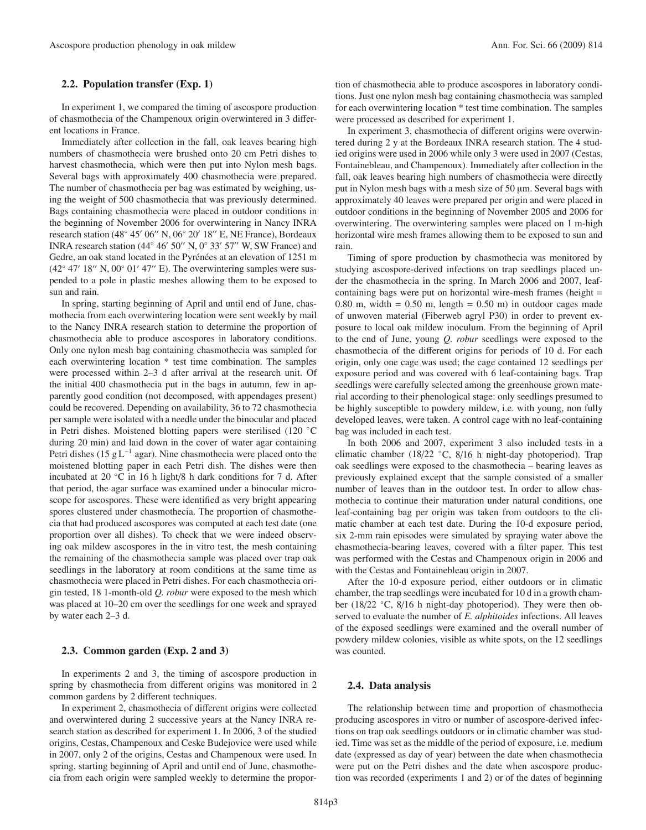# **2.2. Population transfer (Exp. 1)**

In experiment 1, we compared the timing of ascospore production of chasmothecia of the Champenoux origin overwintered in 3 different locations in France.

Immediately after collection in the fall, oak leaves bearing high numbers of chasmothecia were brushed onto 20 cm Petri dishes to harvest chasmothecia, which were then put into Nylon mesh bags. Several bags with approximately 400 chasmothecia were prepared. The number of chasmothecia per bag was estimated by weighing, using the weight of 500 chasmothecia that was previously determined. Bags containing chasmothecia were placed in outdoor conditions in the beginning of November 2006 for overwintering in Nancy INRA research station (48 $\degree$  45' 06" N, 06 $\degree$  20' 18" E, NE France), Bordeaux INRA research station (44 $\degree$  46′ 50″ N, 0 $\degree$  33′ 57″ W, SW France) and Gedre, an oak stand located in the Pyrénées at an elevation of 1251 m (42° 47′ 18″ N, 00° 01′ 47″ E). The overwintering samples were suspended to a pole in plastic meshes allowing them to be exposed to sun and rain.

In spring, starting beginning of April and until end of June, chasmothecia from each overwintering location were sent weekly by mail to the Nancy INRA research station to determine the proportion of chasmothecia able to produce ascospores in laboratory conditions. Only one nylon mesh bag containing chasmothecia was sampled for each overwintering location \* test time combination. The samples were processed within 2–3 d after arrival at the research unit. Of the initial 400 chasmothecia put in the bags in autumn, few in apparently good condition (not decomposed, with appendages present) could be recovered. Depending on availability, 36 to 72 chasmothecia per sample were isolated with a needle under the binocular and placed in Petri dishes. Moistened blotting papers were sterilised (120 ◦C during 20 min) and laid down in the cover of water agar containing Petri dishes (15 g L<sup>-1</sup> agar). Nine chasmothecia were placed onto the moistened blotting paper in each Petri dish. The dishes were then incubated at 20 ◦C in 16 h light/8 h dark conditions for 7 d. After that period, the agar surface was examined under a binocular microscope for ascospores. These were identified as very bright appearing spores clustered under chasmothecia. The proportion of chasmothecia that had produced ascospores was computed at each test date (one proportion over all dishes). To check that we were indeed observing oak mildew ascospores in the in vitro test, the mesh containing the remaining of the chasmothecia sample was placed over trap oak seedlings in the laboratory at room conditions at the same time as chasmothecia were placed in Petri dishes. For each chasmothecia origin tested, 18 1-month-old *Q. robur* were exposed to the mesh which was placed at 10–20 cm over the seedlings for one week and sprayed by water each 2–3 d.

## **2.3. Common garden (Exp. 2 and 3)**

In experiments 2 and 3, the timing of ascospore production in spring by chasmothecia from different origins was monitored in 2 common gardens by 2 different techniques.

In experiment 2, chasmothecia of different origins were collected and overwintered during 2 successive years at the Nancy INRA research station as described for experiment 1. In 2006, 3 of the studied origins, Cestas, Champenoux and Ceske Budejovice were used while in 2007, only 2 of the origins, Cestas and Champenoux were used. In spring, starting beginning of April and until end of June, chasmothecia from each origin were sampled weekly to determine the proportion of chasmothecia able to produce ascospores in laboratory conditions. Just one nylon mesh bag containing chasmothecia was sampled for each overwintering location \* test time combination. The samples were processed as described for experiment 1.

In experiment 3, chasmothecia of different origins were overwintered during 2 y at the Bordeaux INRA research station. The 4 studied origins were used in 2006 while only 3 were used in 2007 (Cestas, Fontainebleau, and Champenoux). Immediately after collection in the fall, oak leaves bearing high numbers of chasmothecia were directly put in Nylon mesh bags with a mesh size of 50 µm. Several bags with approximately 40 leaves were prepared per origin and were placed in outdoor conditions in the beginning of November 2005 and 2006 for overwintering. The overwintering samples were placed on 1 m-high horizontal wire mesh frames allowing them to be exposed to sun and rain.

Timing of spore production by chasmothecia was monitored by studying ascospore-derived infections on trap seedlings placed under the chasmothecia in the spring. In March 2006 and 2007, leafcontaining bags were put on horizontal wire-mesh frames (height  $=$ 0.80 m, width  $= 0.50$  m, length  $= 0.50$  m) in outdoor cages made of unwoven material (Fiberweb agryl P30) in order to prevent exposure to local oak mildew inoculum. From the beginning of April to the end of June, young *Q. robur* seedlings were exposed to the chasmothecia of the different origins for periods of 10 d. For each origin, only one cage was used; the cage contained 12 seedlings per exposure period and was covered with 6 leaf-containing bags. Trap seedlings were carefully selected among the greenhouse grown material according to their phenological stage: only seedlings presumed to be highly susceptible to powdery mildew, i.e. with young, non fully developed leaves, were taken. A control cage with no leaf-containing bag was included in each test.

In both 2006 and 2007, experiment 3 also included tests in a climatic chamber (18/22 ◦C, 8/16 h night-day photoperiod). Trap oak seedlings were exposed to the chasmothecia – bearing leaves as previously explained except that the sample consisted of a smaller number of leaves than in the outdoor test. In order to allow chasmothecia to continue their maturation under natural conditions, one leaf-containing bag per origin was taken from outdoors to the climatic chamber at each test date. During the 10-d exposure period, six 2-mm rain episodes were simulated by spraying water above the chasmothecia-bearing leaves, covered with a filter paper. This test was performed with the Cestas and Champenoux origin in 2006 and with the Cestas and Fontainebleau origin in 2007.

After the 10-d exposure period, either outdoors or in climatic chamber, the trap seedlings were incubated for 10 d in a growth chamber (18/22 ◦C, 8/16 h night-day photoperiod). They were then observed to evaluate the number of *E. alphitoides* infections. All leaves of the exposed seedlings were examined and the overall number of powdery mildew colonies, visible as white spots, on the 12 seedlings was counted.

## **2.4. Data analysis**

The relationship between time and proportion of chasmothecia producing ascospores in vitro or number of ascospore-derived infections on trap oak seedlings outdoors or in climatic chamber was studied. Time was set as the middle of the period of exposure, i.e. medium date (expressed as day of year) between the date when chasmothecia were put on the Petri dishes and the date when ascospore production was recorded (experiments 1 and 2) or of the dates of beginning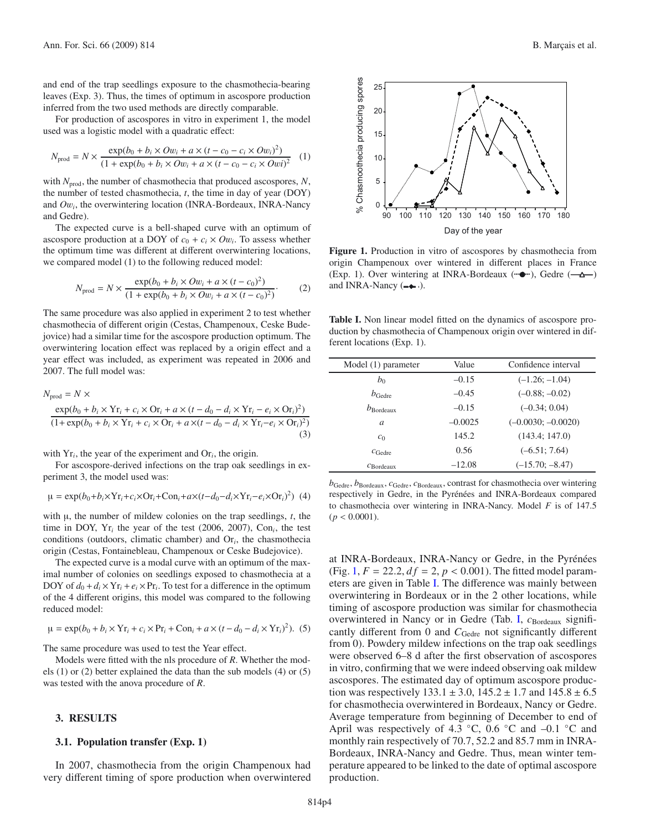and end of the trap seedlings exposure to the chasmothecia-bearing leaves (Exp. 3). Thus, the times of optimum in ascospore production inferred from the two used methods are directly comparable.

For production of ascospores in vitro in experiment 1, the model used was a logistic model with a quadratic effect:

$$
N_{\text{prod}} = N \times \frac{\exp(b_0 + b_i \times Ow_i + a \times (t - c_0 - c_i \times Ow_i)^2)}{(1 + \exp(b_0 + b_i \times Ow_i + a \times (t - c_0 - c_i \times Ow_i)^2)}
$$
 (1)

with  $N_{\text{prod}}$ , the number of chasmothecia that produced ascospores, N, the number of tested chasmothecia, *t*, the time in day of year (DOY) and *O*w*i*, the overwintering location (INRA-Bordeaux, INRA-Nancy and Gedre).

The expected curve is a bell-shaped curve with an optimum of ascospore production at a DOY of  $c_0 + c_i \times Ow_i$ . To assess whether the optimum time was different at different overwintering locations, we compared model (1) to the following reduced model:

$$
N_{\text{prod}} = N \times \frac{\exp(b_0 + b_i \times Ow_i + a \times (t - c_0)^2)}{(1 + \exp(b_0 + b_i \times Ow_i + a \times (t - c_0)^2)}.
$$
 (2)

The same procedure was also applied in experiment 2 to test whether chasmothecia of different origin (Cestas, Champenoux, Ceske Budejovice) had a similar time for the ascospore production optimum. The overwintering location effect was replaced by a origin effect and a year effect was included, as experiment was repeated in 2006 and 2007. The full model was:

$$
N_{\text{prod}} = N \times
$$
  
\n
$$
\frac{\exp(b_0 + b_i \times \text{Yr}_i + c_i \times \text{Or}_i + a \times (t - d_0 - d_i \times \text{Yr}_i - e_i \times \text{Or}_i)^2)}{(1 + \exp(b_0 + b_i \times \text{Yr}_i + c_i \times \text{Or}_i + a \times (t - d_0 - d_i \times \text{Yr}_i - e_i \times \text{Or}_i)^2)}
$$
\n(3)

with Yr*i*, the year of the experiment and Or*i*, the origin.

For ascospore-derived infections on the trap oak seedlings in experiment 3, the model used was:

$$
\mu = \exp(b_0 + b_i \times \Upsilon r_i + c_i \times \text{Or}_i + \text{Con}_i + a \times (t - d_0 - d_i \times \Upsilon r_i - e_i \times \text{Or}_i)^2) \tag{4}
$$

with  $\mu$ , the number of mildew colonies on the trap seedlings,  $t$ , the time in DOY,  $Yr_i$  the year of the test (2006, 2007), Con<sub>i</sub>, the test conditions (outdoors, climatic chamber) and Or*i*, the chasmothecia origin (Cestas, Fontainebleau, Champenoux or Ceske Budejovice).

The expected curve is a modal curve with an optimum of the maximal number of colonies on seedlings exposed to chasmothecia at a DOY of  $d_0 + d_i \times Yr_i + e_i \times Pr_i$ . To test for a difference in the optimum of the 4 different origins, this model was compared to the following reduced model:

$$
\mu = \exp(b_0 + b_i \times \mathrm{Yr}_i + c_i \times \mathrm{Pr}_i + \mathrm{Con}_i + a \times (t - d_0 - d_i \times \mathrm{Yr}_i)^2). (5)
$$

The same procedure was used to test the Year effect.

Models were fitted with the nls procedure of *R*. Whether the models (1) or (2) better explained the data than the sub models (4) or (5) was tested with the anova procedure of *R*.

### **3. RESULTS**

#### **3.1. Population transfer (Exp. 1)**

In 2007, chasmothecia from the origin Champenoux had very different timing of spore production when overwintered

<span id="page-3-0"></span>

<span id="page-3-1"></span>10

15

20

25

**Figure 1.** Production in vitro of ascospores by chasmothecia from origin Champenoux over wintered in different places in France (Exp. 1). Over wintering at INRA-Bordeaux  $(\neg \blacktriangle \neg)$ , Gedre  $(\neg \blacktriangle \neg)$ and INRA-Nancy  $(-\rightarrow \cdot)$ .

**Table I.** Non linear model fitted on the dynamics of ascospore production by chasmothecia of Champenoux origin over wintered in different locations (Exp. 1).

| Model (1) parameter   | Value     | Confidence interval  |
|-----------------------|-----------|----------------------|
| $b_0$                 | $-0.15$   | $(-1.26; -1.04)$     |
| $b$ Gedre             | $-0.45$   | $(-0.88; -0.02)$     |
| $b_{\text{Bordeaux}}$ | $-0.15$   | $(-0.34; 0.04)$      |
| a                     | $-0.0025$ | $(-0.0030; -0.0020)$ |
| c <sub>0</sub>        | 145.2     | (143.4; 147.0)       |
| $C_{\text{Gedre}}$    | 0.56      | $(-6.51; 7.64)$      |
| $C$ Bordeaux          | $-12.08$  | $(-15.70; -8.47)$    |

 $b$ <sub>Gedre</sub>,  $b$ <sub>Bordeaux</sub>,  $c$ <sub>Gedre</sub>,  $c$ <sub>Bordeaux</sub>, contrast for chasmothecia over wintering respectively in Gedre, in the Pyrénées and INRA-Bordeaux compared to chasmothecia over wintering in INRA-Nancy. Model *F* is of 147.5  $(p < 0.0001)$ .

at INRA-Bordeaux, INRA-Nancy or Gedre, in the Pyrénées (Fig. [1,](#page-3-0)  $F = 22.2$ ,  $df = 2$ ,  $p < 0.001$ ). The fitted model parameters are given in Table [I.](#page-3-1) The difference was mainly between overwintering in Bordeaux or in the 2 other locations, while timing of ascospore production was similar for chasmothecia overwintered in Nancy or in Gedre (Tab. [I,](#page-3-1)  $c_{\text{Bordeaux}}$  significantly different from 0 and C<sub>Gedre</sub> not significantly different from 0). Powdery mildew infections on the trap oak seedlings were observed 6–8 d after the first observation of ascospores in vitro, confirming that we were indeed observing oak mildew ascospores. The estimated day of optimum ascospore production was respectively  $133.1 \pm 3.0$ ,  $145.2 \pm 1.7$  and  $145.8 \pm 6.5$ for chasmothecia overwintered in Bordeaux, Nancy or Gedre. Average temperature from beginning of December to end of April was respectively of 4.3  $°C$ , 0.6 °C and -0.1 °C and monthly rain respectively of 70.7, 52.2 and 85.7 mm in INRA-Bordeaux, INRA-Nancy and Gedre. Thus, mean winter temperature appeared to be linked to the date of optimal ascospore production.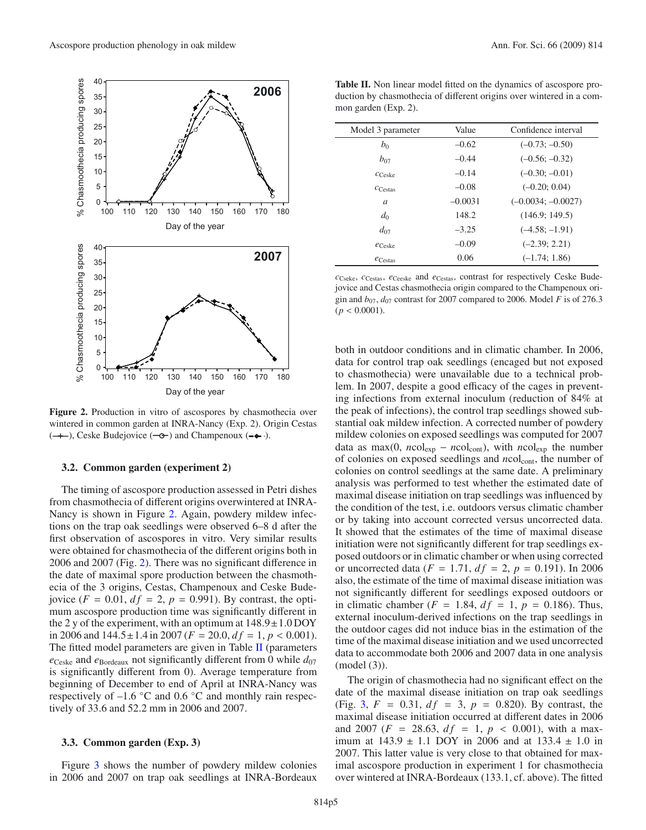

<span id="page-4-0"></span>**Figure 2.** Production in vitro of ascospores by chasmothecia over wintered in common garden at INRA-Nancy (Exp. 2). Origin Cestas  $(\rightarrow -)$ , Ceske Budejovice  $(\rightarrow -)$  and Champenoux  $(\rightarrow \rightarrow)$ .

#### **3.2. Common garden (experiment 2)**

The timing of ascospore production assessed in Petri dishes from chasmothecia of different origins overwintered at INRA-Nancy is shown in Figure [2.](#page-4-0) Again, powdery mildew infections on the trap oak seedlings were observed 6–8 d after the first observation of ascospores in vitro. Very similar results were obtained for chasmothecia of the different origins both in 2006 and 2007 (Fig. [2\)](#page-4-0). There was no significant difference in the date of maximal spore production between the chasmothecia of the 3 origins, Cestas, Champenoux and Ceske Budejovice ( $F = 0.01$ ,  $df = 2$ ,  $p = 0.991$ ). By contrast, the optimum ascospore production time was significantly different in the 2 y of the experiment, with an optimum at  $148.9 \pm 1.0$  DOY in 2006 and  $144.5 \pm 1.4$  in 2007 ( $F = 20.0$ ,  $df = 1$ ,  $p < 0.001$ ). The fitted model parameters are given in Table  $II$  (parameters  $e_{\text{Ceske}}$  and  $e_{\text{Bordeaux}}$  not significantly different from 0 while  $d_{07}$ is significantly different from 0). Average temperature from beginning of December to end of April at INRA-Nancy was respectively of  $-1.6$  °C and 0.6 °C and monthly rain respectively of 33.6 and 52.2 mm in 2006 and 2007.

#### **3.3. Common garden (Exp. 3)**

Figure [3](#page-5-0) shows the number of powdery mildew colonies in 2006 and 2007 on trap oak seedlings at INRA-Bordeaux

<span id="page-4-1"></span>**Table II.** Non linear model fitted on the dynamics of ascospore production by chasmothecia of different origins over wintered in a common garden (Exp. 2).

| Model 3 parameter   | Value     | Confidence interval  |
|---------------------|-----------|----------------------|
| $b_0$               | $-0.62$   | $(-0.73; -0.50)$     |
| $b_{07}$            | $-0.44$   | $(-0.56; -0.32)$     |
| $C$ Ceske           | $-0.14$   | $(-0.30; -0.01)$     |
| $C$ Cestas          | $-0.08$   | $(-0.20; 0.04)$      |
| $\mathfrak a$       | $-0.0031$ | $(-0.0034; -0.0027)$ |
| $d_0$               | 148.2     | (146.9; 149.5)       |
| $d_{07}$            | $-3.25$   | $(-4.58; -1.91)$     |
| $e_{\text{Ceske}}$  | $-0.09$   | $(-2.39; 2.21)$      |
| $e_{\text{Cestas}}$ | 0.06      | $(-1.74; 1.86)$      |

*c*Cseke, *c*Cestas, *e*Ceeske and *e*Cestas, contrast for respectively Ceske Budejovice and Cestas chasmothecia origin compared to the Champenoux origin and  $b_{07}$ ,  $d_{07}$  contrast for 2007 compared to 2006. Model *F* is of 276.3  $(p < 0.0001)$ .

both in outdoor conditions and in climatic chamber. In 2006, data for control trap oak seedlings (encaged but not exposed to chasmothecia) were unavailable due to a technical problem. In 2007, despite a good efficacy of the cages in preventing infections from external inoculum (reduction of 84% at the peak of infections), the control trap seedlings showed substantial oak mildew infection. A corrected number of powdery mildew colonies on exposed seedlings was computed for 2007 data as max(0,  $ncol_{exp} - ncol_{cont}$ ), with  $ncol_{exp}$  the number of colonies on exposed seedlings and *n*col<sub>cont</sub>, the number of colonies on control seedlings at the same date. A preliminary analysis was performed to test whether the estimated date of maximal disease initiation on trap seedlings was influenced by the condition of the test, i.e. outdoors versus climatic chamber or by taking into account corrected versus uncorrected data. It showed that the estimates of the time of maximal disease initiation were not significantly different for trap seedlings exposed outdoors or in climatic chamber or when using corrected or uncorrected data ( $F = 1.71$ ,  $df = 2$ ,  $p = 0.191$ ). In 2006 also, the estimate of the time of maximal disease initiation was not significantly different for seedlings exposed outdoors or in climatic chamber ( $F = 1.84$ ,  $df = 1$ ,  $p = 0.186$ ). Thus, external inoculum-derived infections on the trap seedlings in the outdoor cages did not induce bias in the estimation of the time of the maximal disease initiation and we used uncorrected data to accommodate both 2006 and 2007 data in one analysis (model (3)).

The origin of chasmothecia had no significant effect on the date of the maximal disease initiation on trap oak seedlings (Fig. [3,](#page-5-0)  $F = 0.31$ ,  $df = 3$ ,  $p = 0.820$ ). By contrast, the maximal disease initiation occurred at different dates in 2006 and 2007 ( $F = 28.63$ ,  $df = 1$ ,  $p < 0.001$ ), with a maximum at  $143.9 \pm 1.1$  DOY in 2006 and at  $133.4 \pm 1.0$  in 2007. This latter value is very close to that obtained for maximal ascospore production in experiment 1 for chasmothecia over wintered at INRA-Bordeaux (133.1, cf. above). The fitted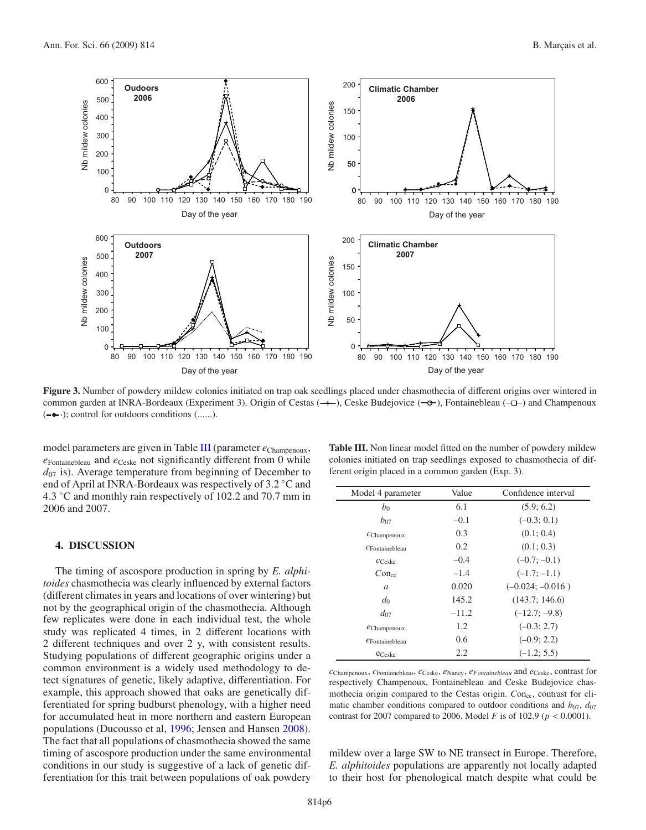

<span id="page-5-0"></span>**Figure 3.** Number of powdery mildew colonies initiated on trap oak seedlings placed under chasmothecia of different origins over wintered in common garden at INRA-Bordeaux (Experiment 3). Origin of Cestas  $(+)$ , Ceske Budejovice  $(¬→)$ , Fontainebleau  $(¬→)$  and Champenoux  $(-\leftarrow)$ ; control for outdoors conditions (......).

model parameters are given in Table [III](#page-5-1) (parameter  $e_{\text{Champenoux}}$ , *e*Fontainebleau and *e*Ceske not significantly different from 0 while  $d_{07}$  is). Average temperature from beginning of December to end of April at INRA-Bordeaux was respectively of 3.2 ◦C and 4.3 °C and monthly rain respectively of 102.2 and 70.7 mm in 2006 and 2007.

## **4. DISCUSSION**

The timing of ascospore production in spring by *E. alphitoides* chasmothecia was clearly influenced by external factors (different climates in years and locations of over wintering) but not by the geographical origin of the chasmothecia. Although few replicates were done in each individual test, the whole study was replicated 4 times, in 2 different locations with 2 different techniques and over 2 y, with consistent results. Studying populations of different geographic origins under a common environment is a widely used methodology to detect signatures of genetic, likely adaptive, differentiation. For example, this approach showed that oaks are genetically differentiated for spring budburst phenology, with a higher need for accumulated heat in more northern and eastern European populations (Ducousso et al, [1996;](#page-7-4) Jensen and Hansen [2008\)](#page-7-5). The fact that all populations of chasmothecia showed the same timing of ascospore production under the same environmental conditions in our study is suggestive of a lack of genetic differentiation for this trait between populations of oak powdery

<span id="page-5-1"></span>**Table III.** Non linear model fitted on the number of powdery mildew colonies initiated on trap seedlings exposed to chasmothecia of different origin placed in a common garden (Exp. 3).

| Model 4 parameter          | Value   | Confidence interval |
|----------------------------|---------|---------------------|
| $b_0$                      | 6.1     | (5.9; 6.2)          |
| $b_{07}$                   | $-0.1$  | $(-0.3; 0.1)$       |
| $c_{\text{Champenoux}}$    | 0.3     | (0.1; 0.4)          |
| $C$ Fontainebleau          | 0.2     | (0.1; 0.3)          |
| $c_{\text{Ceske}}$         | $-0.4$  | $(-0.7; -0.1)$      |
| $Con_{cc}$                 | $-1.4$  | $(-1.7; -1.1)$      |
| $\overline{a}$             | 0.020   | $(-0.024; -0.016)$  |
| $d_0$                      | 145.2   | (143.7; 146.6)      |
| $d_{07}$                   | $-11.2$ | $(-12.7: -9.8)$     |
| $e_{\text{Champenoux}}$    | 1.2     | $(-0.3; 2.7)$       |
| $e_{\text{Fontainebleau}}$ | 0.6     | $(-0.9; 2.2)$       |
| $e_{\text{Ceske}}$         | 2.2     | $(-1.2; 5.5)$       |

*c*Champenoux, *c*Fontainebleau, *c*<sub>Ceske</sub>, *e*<sub>Nancy</sub>, *e*<sub>Fontainebleau</sub> and *e*<sub>Ceske</sub>, contrast for respectively Champenoux, Fontainebleau and Ceske Budejovice chasmothecia origin compared to the Cestas origin. Con<sub>cc</sub>, contrast for climatic chamber conditions compared to outdoor conditions and  $b_{07}$ ,  $d_{07}$ contrast for 2007 compared to 2006. Model *F* is of 102.9 (*p* < 0.0001).

mildew over a large SW to NE transect in Europe. Therefore, *E. alphitoides* populations are apparently not locally adapted to their host for phenological match despite what could be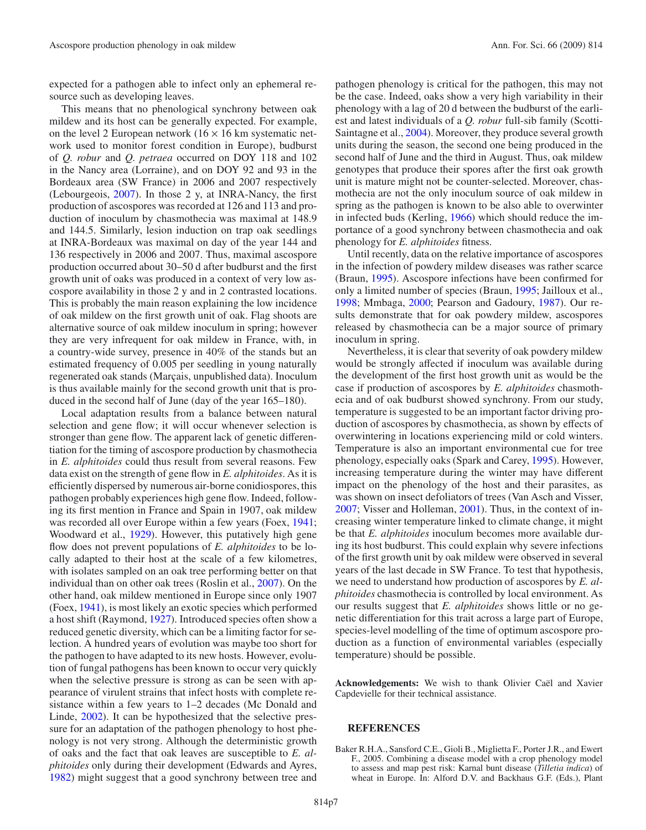expected for a pathogen able to infect only an ephemeral resource such as developing leaves.

This means that no phenological synchrony between oak mildew and its host can be generally expected. For example, on the level 2 European network ( $16 \times 16$  km systematic network used to monitor forest condition in Europe), budburst of *Q. robur* and *Q. petraea* occurred on DOY 118 and 102 in the Nancy area (Lorraine), and on DOY 92 and 93 in the Bordeaux area (SW France) in 2006 and 2007 respectively (Lebourgeois, [2007\)](#page-7-16). In those 2 y, at INRA-Nancy, the first production of ascospores was recorded at 126 and 113 and production of inoculum by chasmothecia was maximal at 148.9 and 144.5. Similarly, lesion induction on trap oak seedlings at INRA-Bordeaux was maximal on day of the year 144 and 136 respectively in 2006 and 2007. Thus, maximal ascospore production occurred about 30–50 d after budburst and the first growth unit of oaks was produced in a context of very low ascospore availability in those 2 y and in 2 contrasted locations. This is probably the main reason explaining the low incidence of oak mildew on the first growth unit of oak. Flag shoots are alternative source of oak mildew inoculum in spring; however they are very infrequent for oak mildew in France, with, in a country-wide survey, presence in 40% of the stands but an estimated frequency of 0.005 per seedling in young naturally regenerated oak stands (Marçais, unpublished data). Inoculum is thus available mainly for the second growth unit that is produced in the second half of June (day of the year 165–180).

Local adaptation results from a balance between natural selection and gene flow; it will occur whenever selection is stronger than gene flow. The apparent lack of genetic differentiation for the timing of ascospore production by chasmothecia in *E. alphitoides* could thus result from several reasons. Few data exist on the strength of gene flow in *E. alphitoides*. As it is efficiently dispersed by numerous air-borne conidiospores, this pathogen probably experiences high gene flow. Indeed, following its first mention in France and Spain in 1907, oak mildew was recorded all over Europe within a few years (Foex, [1941;](#page-7-6) Woodward et al., [1929\)](#page-7-17). However, this putatively high gene flow does not prevent populations of *E. alphitoides* to be locally adapted to their host at the scale of a few kilometres, with isolates sampled on an oak tree performing better on that individual than on other oak trees (Roslin et al., [2007\)](#page-7-18). On the other hand, oak mildew mentioned in Europe since only 1907 (Foex, [1941\)](#page-7-6), is most likely an exotic species which performed a host shift (Raymond, [1927\)](#page-7-19). Introduced species often show a reduced genetic diversity, which can be a limiting factor for selection. A hundred years of evolution was maybe too short for the pathogen to have adapted to its new hosts. However, evolution of fungal pathogens has been known to occur very quickly when the selective pressure is strong as can be seen with appearance of virulent strains that infect hosts with complete resistance within a few years to 1–2 decades (Mc Donald and Linde, [2002\)](#page-7-20). It can be hypothesized that the selective pressure for an adaptation of the pathogen phenology to host phenology is not very strong. Although the deterministic growth of oaks and the fact that oak leaves are susceptible to *E. alphitoides* only during their development (Edwards and Ayres, [1982\)](#page-7-10) might suggest that a good synchrony between tree and

pathogen phenology is critical for the pathogen, this may not be the case. Indeed, oaks show a very high variability in their phenology with a lag of 20 d between the budburst of the earliest and latest individuals of a *Q. robur* full-sib family (Scotti-Saintagne et al., [2004\)](#page-7-21). Moreover, they produce several growth units during the season, the second one being produced in the second half of June and the third in August. Thus, oak mildew genotypes that produce their spores after the first oak growth unit is mature might not be counter-selected. Moreover, chasmothecia are not the only inoculum source of oak mildew in spring as the pathogen is known to be also able to overwinter in infected buds (Kerling, [1966\)](#page-7-12) which should reduce the importance of a good synchrony between chasmothecia and oak phenology for *E. alphitoides* fitness.

Until recently, data on the relative importance of ascospores in the infection of powdery mildew diseases was rather scarce (Braun, [1995\)](#page-7-22). Ascospore infections have been confirmed for only a limited number of species (Braun, [1995;](#page-7-22) Jailloux et al., [1998;](#page-7-23) Mmbaga, [2000;](#page-7-24) Pearson and Gadoury, [1987](#page-7-25)). Our results demonstrate that for oak powdery mildew, ascospores released by chasmothecia can be a major source of primary inoculum in spring.

Nevertheless, it is clear that severity of oak powdery mildew would be strongly affected if inoculum was available during the development of the first host growth unit as would be the case if production of ascospores by *E. alphitoides* chasmothecia and of oak budburst showed synchrony. From our study, temperature is suggested to be an important factor driving production of ascospores by chasmothecia, as shown by effects of overwintering in locations experiencing mild or cold winters. Temperature is also an important environmental cue for tree phenology, especially oaks (Spark and Carey, [1995\)](#page-7-26). However, increasing temperature during the winter may have different impact on the phenology of the host and their parasites, as was shown on insect defoliators of trees (Van Asch and Visser, [2007;](#page-7-0) Visser and Holleman, [2001](#page-7-27)). Thus, in the context of increasing winter temperature linked to climate change, it might be that *E. alphitoides* inoculum becomes more available during its host budburst. This could explain why severe infections of the first growth unit by oak mildew were observed in several years of the last decade in SW France. To test that hypothesis, we need to understand how production of ascospores by *E. alphitoides* chasmothecia is controlled by local environment. As our results suggest that *E. alphitoides* shows little or no genetic differentiation for this trait across a large part of Europe, species-level modelling of the time of optimum ascospore production as a function of environmental variables (especially temperature) should be possible.

**Acknowledgements:** We wish to thank Olivier Caël and Xavier Capdevielle for their technical assistance.

#### **REFERENCES**

<span id="page-6-0"></span>Baker R.H.A., Sansford C.E., Gioli B., Miglietta F., Porter J.R., and Ewert F., 2005. Combining a disease model with a crop phenology model to assess and map pest risk: Karnal bunt disease (*Tilletia indica*) of wheat in Europe. In: Alford D.V. and Backhaus G.F. (Eds.), Plant